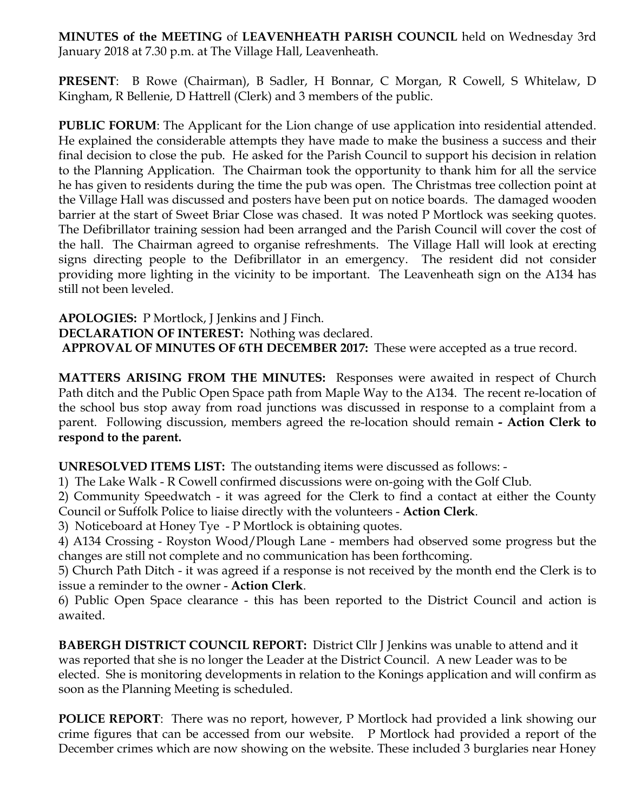**MINUTES of the MEETING** of **LEAVENHEATH PARISH COUNCIL** held on Wednesday 3rd January 2018 at 7.30 p.m. at The Village Hall, Leavenheath.

**PRESENT**: B Rowe (Chairman), B Sadler, H Bonnar, C Morgan, R Cowell, S Whitelaw, D Kingham, R Bellenie, D Hattrell (Clerk) and 3 members of the public.

**PUBLIC FORUM:** The Applicant for the Lion change of use application into residential attended. He explained the considerable attempts they have made to make the business a success and their final decision to close the pub. He asked for the Parish Council to support his decision in relation to the Planning Application. The Chairman took the opportunity to thank him for all the service he has given to residents during the time the pub was open. The Christmas tree collection point at the Village Hall was discussed and posters have been put on notice boards. The damaged wooden barrier at the start of Sweet Briar Close was chased. It was noted P Mortlock was seeking quotes. The Defibrillator training session had been arranged and the Parish Council will cover the cost of the hall. The Chairman agreed to organise refreshments. The Village Hall will look at erecting signs directing people to the Defibrillator in an emergency. The resident did not consider providing more lighting in the vicinity to be important. The Leavenheath sign on the A134 has still not been leveled.

**APOLOGIES:** P Mortlock, J Jenkins and J Finch. **DECLARATION OF INTEREST:** Nothing was declared. **APPROVAL OF MINUTES OF 6TH DECEMBER 2017:** These were accepted as a true record.

**MATTERS ARISING FROM THE MINUTES:** Responses were awaited in respect of Church Path ditch and the Public Open Space path from Maple Way to the A134. The recent re-location of the school bus stop away from road junctions was discussed in response to a complaint from a parent. Following discussion, members agreed the re-location should remain **- Action Clerk to respond to the parent.** 

**UNRESOLVED ITEMS LIST:** The outstanding items were discussed as follows: -

1) The Lake Walk - R Cowell confirmed discussions were on-going with the Golf Club.

2) Community Speedwatch - it was agreed for the Clerk to find a contact at either the County Council or Suffolk Police to liaise directly with the volunteers - **Action Clerk**.

3) Noticeboard at Honey Tye - P Mortlock is obtaining quotes.

4) A134 Crossing - Royston Wood/Plough Lane - members had observed some progress but the changes are still not complete and no communication has been forthcoming.

5) Church Path Ditch - it was agreed if a response is not received by the month end the Clerk is to issue a reminder to the owner - **Action Clerk**.

6) Public Open Space clearance - this has been reported to the District Council and action is awaited.

**BABERGH DISTRICT COUNCIL REPORT:** District Cllr J Jenkins was unable to attend and it was reported that she is no longer the Leader at the District Council. A new Leader was to be elected. She is monitoring developments in relation to the Konings application and will confirm as soon as the Planning Meeting is scheduled.

**POLICE REPORT**: There was no report, however, P Mortlock had provided a link showing our crime figures that can be accessed from our website. P Mortlock had provided a report of the December crimes which are now showing on the website. These included 3 burglaries near Honey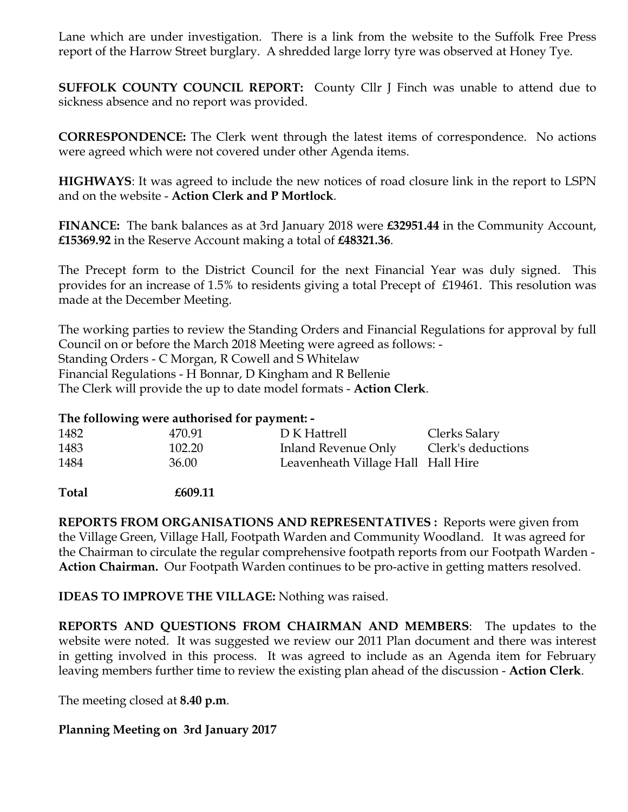Lane which are under investigation. There is a link from the website to the Suffolk Free Press report of the Harrow Street burglary. A shredded large lorry tyre was observed at Honey Tye.

**SUFFOLK COUNTY COUNCIL REPORT:** County Cllr J Finch was unable to attend due to sickness absence and no report was provided.

**CORRESPONDENCE:** The Clerk went through the latest items of correspondence. No actions were agreed which were not covered under other Agenda items.

**HIGHWAYS**: It was agreed to include the new notices of road closure link in the report to LSPN and on the website - **Action Clerk and P Mortlock**.

**FINANCE:** The bank balances as at 3rd January 2018 were **£32951.44** in the Community Account, **£15369.92** in the Reserve Account making a total of **£48321.36**.

The Precept form to the District Council for the next Financial Year was duly signed. This provides for an increase of 1.5% to residents giving a total Precept of £19461. This resolution was made at the December Meeting.

The working parties to review the Standing Orders and Financial Regulations for approval by full Council on or before the March 2018 Meeting were agreed as follows: - Standing Orders - C Morgan, R Cowell and S Whitelaw Financial Regulations - H Bonnar, D Kingham and R Bellenie The Clerk will provide the up to date model formats - **Action Clerk**.

## **The following were authorised for payment: -**

| 1482 | 470.91 | D K Hattrell                       | Clerks Salary      |
|------|--------|------------------------------------|--------------------|
| 1483 | 102.20 | Inland Revenue Only                | Clerk's deductions |
| 1484 | 36.00  | Leavenheath Village Hall Hall Hire |                    |

**Total £609.11**

**REPORTS FROM ORGANISATIONS AND REPRESENTATIVES :** Reports were given from the Village Green, Village Hall, Footpath Warden and Community Woodland. It was agreed for the Chairman to circulate the regular comprehensive footpath reports from our Footpath Warden - **Action Chairman.** Our Footpath Warden continues to be pro-active in getting matters resolved.

**IDEAS TO IMPROVE THE VILLAGE:** Nothing was raised.

**REPORTS AND QUESTIONS FROM CHAIRMAN AND MEMBERS**: The updates to the website were noted. It was suggested we review our 2011 Plan document and there was interest in getting involved in this process. It was agreed to include as an Agenda item for February leaving members further time to review the existing plan ahead of the discussion - **Action Clerk**.

The meeting closed at **8.40 p.m**.

## **Planning Meeting on 3rd January 2017**